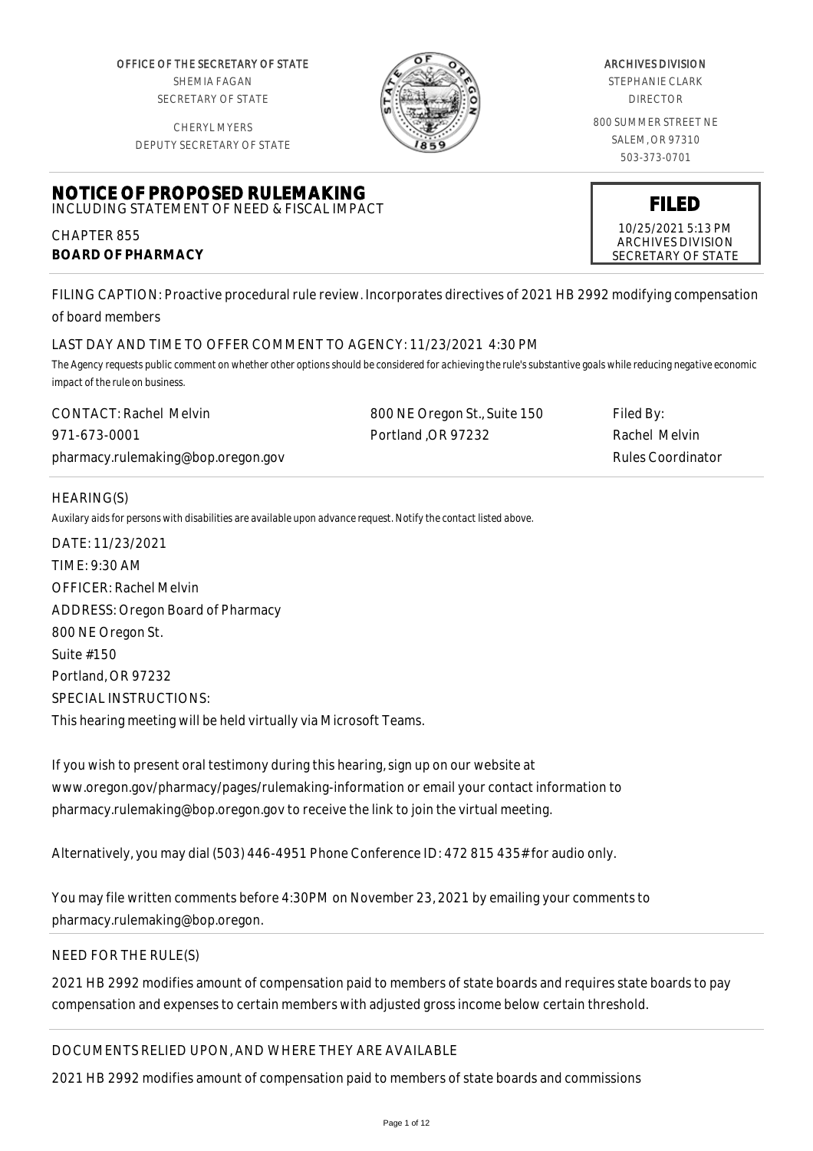OFFICE OF THE SECRETARY OF STATE SHEMIA FAGAN SECRETARY OF STATE

CHERYL MYERS



#### ARCHIVES DIVISION

STEPHANIE CLARK DIRECTOR

800 SUMMER STREET NE SALEM, OR 97310 503-373-0701

> **FILED** 10/25/2021 5:13 PM ARCHIVES DIVISION SECRETARY OF STATE

DEPUTY SECRETARY OF STATE

#### **NOTICE OF PROPOSED RULEMAKING** INCLUDING STATEMENT OF NEED & FISCAL IMPACT

CHAPTER 855 **BOARD OF PHARMACY**

FILING CAPTION: Proactive procedural rule review. Incorporates directives of 2021 HB 2992 modifying compensation of board members

# LAST DAY AND TIME TO OFFER COMMENT TO AGENCY: 11/23/2021 4:30 PM

*The Agency requests public comment on whether other options should be considered for achieving the rule's substantive goals while reducing negative economic impact of the rule on business.*

| <b>CONTACT: Rachel Melvin</b>      | 800 NE Oregon St., Suite 150 | Filed By:         |
|------------------------------------|------------------------------|-------------------|
| 971-673-0001                       | Portland OR 97232            | -Rachel Melvin    |
| pharmacy.rulemaking@bop.oregon.gov |                              | Rules Coordinator |

# HEARING(S)

*Auxilary aids for persons with disabilities are available upon advance request. Notify the contact listed above.*

DATE: 11/23/2021 TIME: 9:30 AM OFFICER: Rachel Melvin ADDRESS: Oregon Board of Pharmacy 800 NE Oregon St. Suite #150 Portland, OR 97232 SPECIAL INSTRUCTIONS: This hearing meeting will be held virtually via Microsoft Teams.

If you wish to present oral testimony during this hearing, sign up on our website at www.oregon.gov/pharmacy/pages/rulemaking-information or email your contact information to pharmacy.rulemaking@bop.oregon.gov to receive the link to join the virtual meeting.

Alternatively, you may dial (503) 446-4951 Phone Conference ID: 472 815 435# for audio only.

You may file written comments before 4:30PM on November 23, 2021 by emailing your comments to pharmacy.rulemaking@bop.oregon.

# NEED FOR THE RULE(S)

2021 HB 2992 modifies amount of compensation paid to members of state boards and requires state boards to pay compensation and expenses to certain members with adjusted gross income below certain threshold.

DOCUMENTS RELIED UPON, AND WHERE THEY ARE AVAILABLE

2021 HB 2992 modifies amount of compensation paid to members of state boards and commissions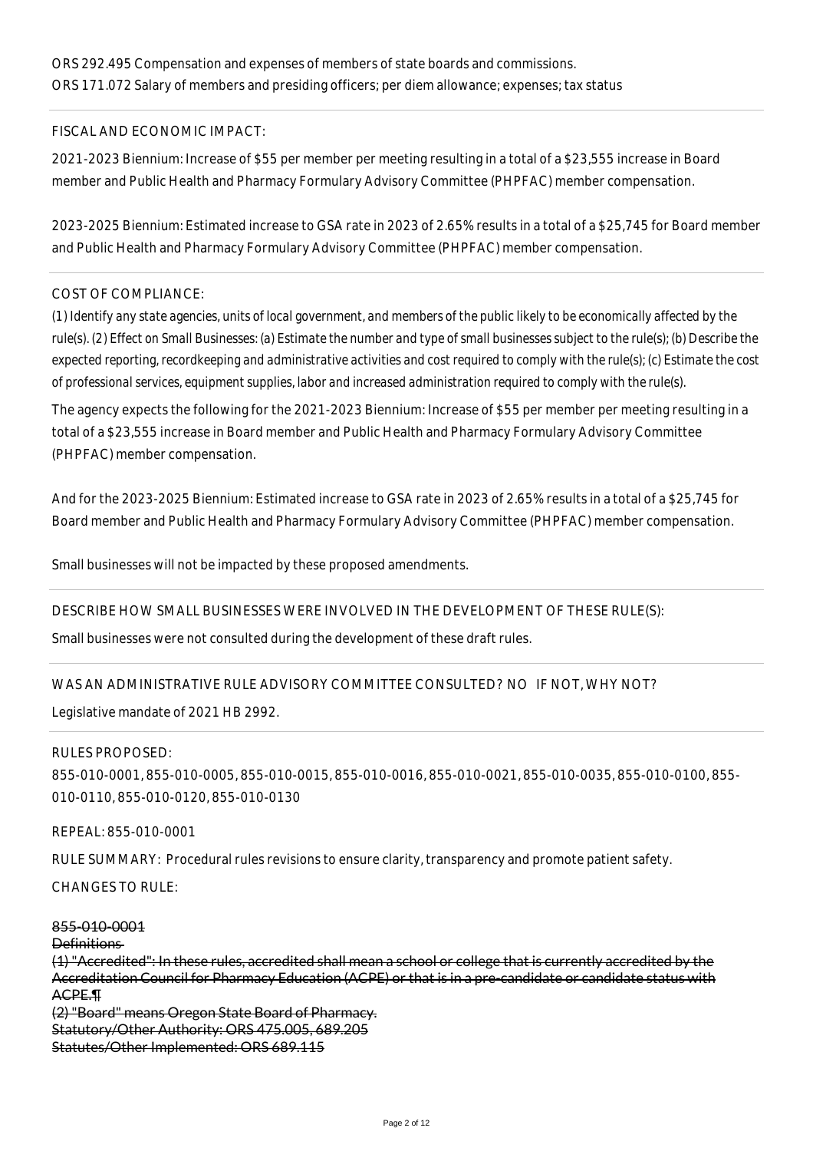#### FISCAL AND ECONOMIC IMPACT:

2021-2023 Biennium: Increase of \$55 per member per meeting resulting in a total of a \$23,555 increase in Board member and Public Health and Pharmacy Formulary Advisory Committee (PHPFAC) member compensation.

2023-2025 Biennium: Estimated increase to GSA rate in 2023 of 2.65% results in a total of a \$25,745 for Board member and Public Health and Pharmacy Formulary Advisory Committee (PHPFAC) member compensation.

#### COST OF COMPLIANCE:

*(1) Identify any state agencies, units of local government, and members of the public likely to be economically affected by the rule(s). (2) Effect on Small Businesses: (a) Estimate the number and type of small businesses subject to the rule(s); (b) Describe the expected reporting, recordkeeping and administrative activities and cost required to comply with the rule(s); (c) Estimate the cost of professional services, equipment supplies, labor and increased administration required to comply with the rule(s).*

The agency expects the following for the 2021-2023 Biennium: Increase of \$55 per member per meeting resulting in a total of a \$23,555 increase in Board member and Public Health and Pharmacy Formulary Advisory Committee (PHPFAC) member compensation.

And for the 2023-2025 Biennium: Estimated increase to GSA rate in 2023 of 2.65% results in a total of a \$25,745 for Board member and Public Health and Pharmacy Formulary Advisory Committee (PHPFAC) member compensation.

Small businesses will not be impacted by these proposed amendments.

#### DESCRIBE HOW SMALL BUSINESSES WERE INVOLVED IN THE DEVELOPMENT OF THESE RULE(S):

Small businesses were not consulted during the development of these draft rules.

#### WAS AN ADMINISTRATIVE RULE ADVISORY COMMITTEE CONSULTED? NO IF NOT, WHY NOT?

Legislative mandate of 2021 HB 2992.

#### RULES PROPOSED:

855-010-0001, 855-010-0005, 855-010-0015, 855-010-0016, 855-010-0021, 855-010-0035, 855-010-0100, 855- 010-0110, 855-010-0120, 855-010-0130

REPEAL: 855-010-0001

RULE SUMMARY: Procedural rules revisions to ensure clarity, transparency and promote patient safety.

CHANGES TO RULE:

## 855-010-0001

Definitions

(1) "Accredited": In these rules, accredited shall mean a school or college that is currently accredited by the Accreditation Council for Pharmacy Education (ACPE) or that is in a pre-candidate or candidate status with ACPE.¶

(2) "Board" means Oregon State Board of Pharmacy. Statutory/Other Authority: ORS 475.005, 689.205 Statutes/Other Implemented: ORS 689.115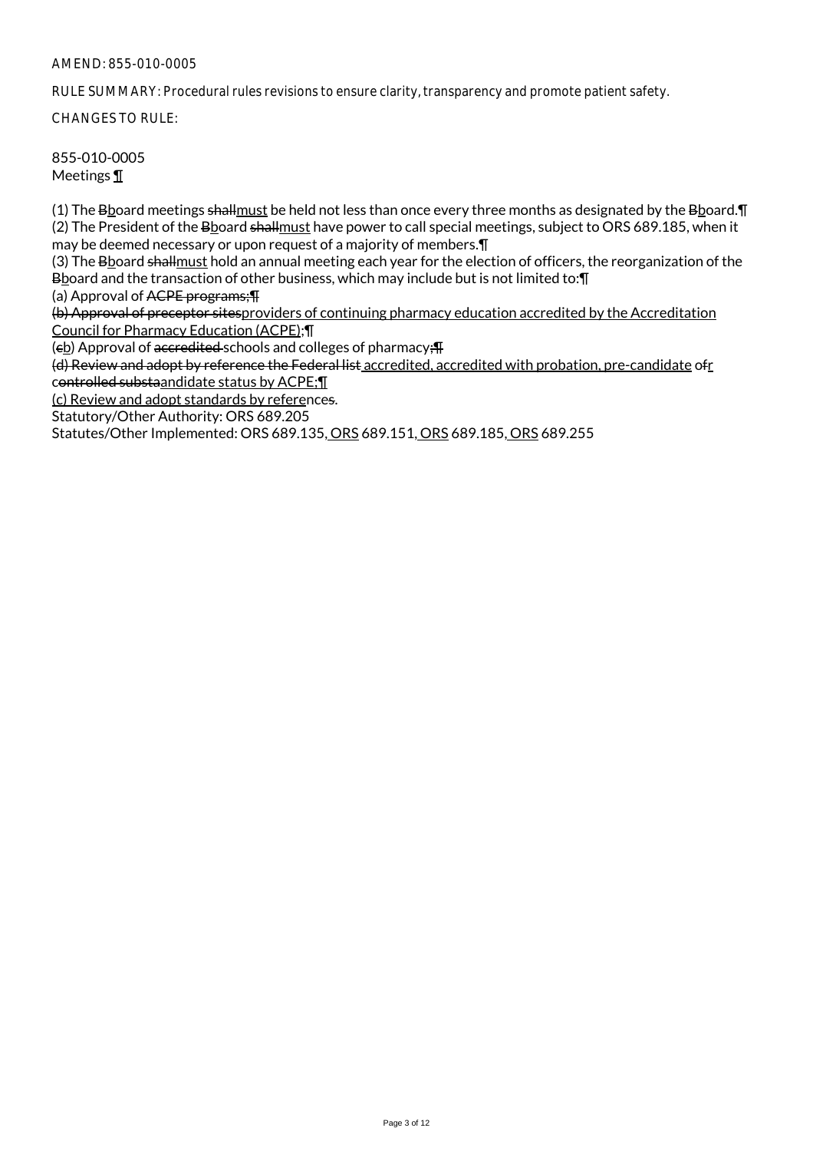RULE SUMMARY: Procedural rules revisions to ensure clarity, transparency and promote patient safety.

CHANGES TO RULE:

855-010-0005 Meetings ¶

(1) The Bboard meetings shallmust be held not less than once every three months as designated by the Bboard.¶ (2) The President of the Bboard shallmust have power to call special meetings, subject to ORS 689.185, when it may be deemed necessary or upon request of a majority of members.¶

(3) The Bboard shall must hold an annual meeting each year for the election of officers, the reorganization of the Bboard and the transaction of other business, which may include but is not limited to: [1]

(a) Approval of ACPE programs;¶

(b) Approval of preceptor sitesproviders of continuing pharmacy education accredited by the Accreditation Council for Pharmacy Education (ACPE);¶

(eb) Approval of accredited schools and colleges of pharmacy; T

(d) Review and adopt by reference the Federal list accredited, accredited with probation, pre-candidate ofr controlled substaandidate status by ACPE;¶

(c) Review and adopt standards by references.

Statutory/Other Authority: ORS 689.205

Statutes/Other Implemented: ORS 689.135, ORS 689.151, ORS 689.185, ORS 689.255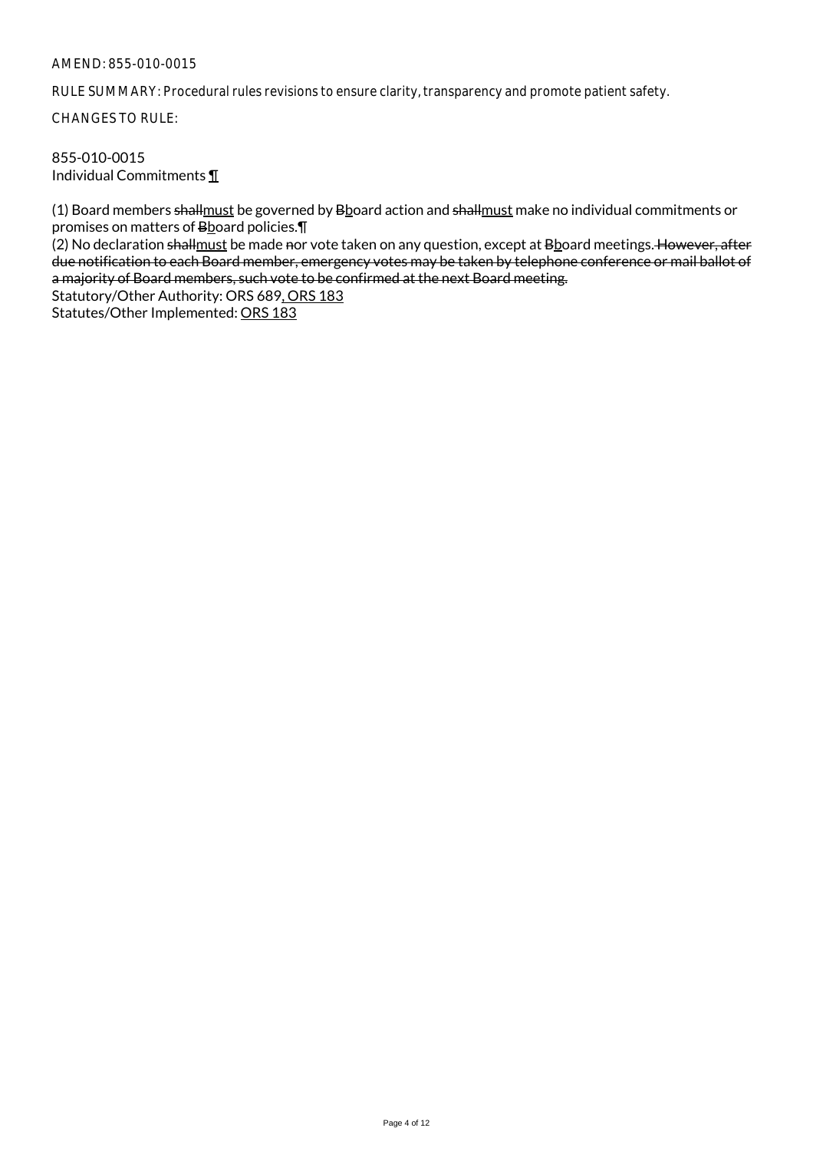RULE SUMMARY: Procedural rules revisions to ensure clarity, transparency and promote patient safety.

CHANGES TO RULE:

#### 855-010-0015 Individual Commitments ¶

(1) Board members shall must be governed by Bboard action and shall must make no individual commitments or promises on matters of Bboard policies. [1]

(2) No declaration shallmust be made nor vote taken on any question, except at Bboard meetings. However, after due notification to each Board member, emergency votes may be taken by telephone conference or mail ballot of a majority of Board members, such vote to be confirmed at the next Board meeting.

Statutory/Other Authority: ORS 689, ORS 183

Statutes/Other Implemented: ORS 183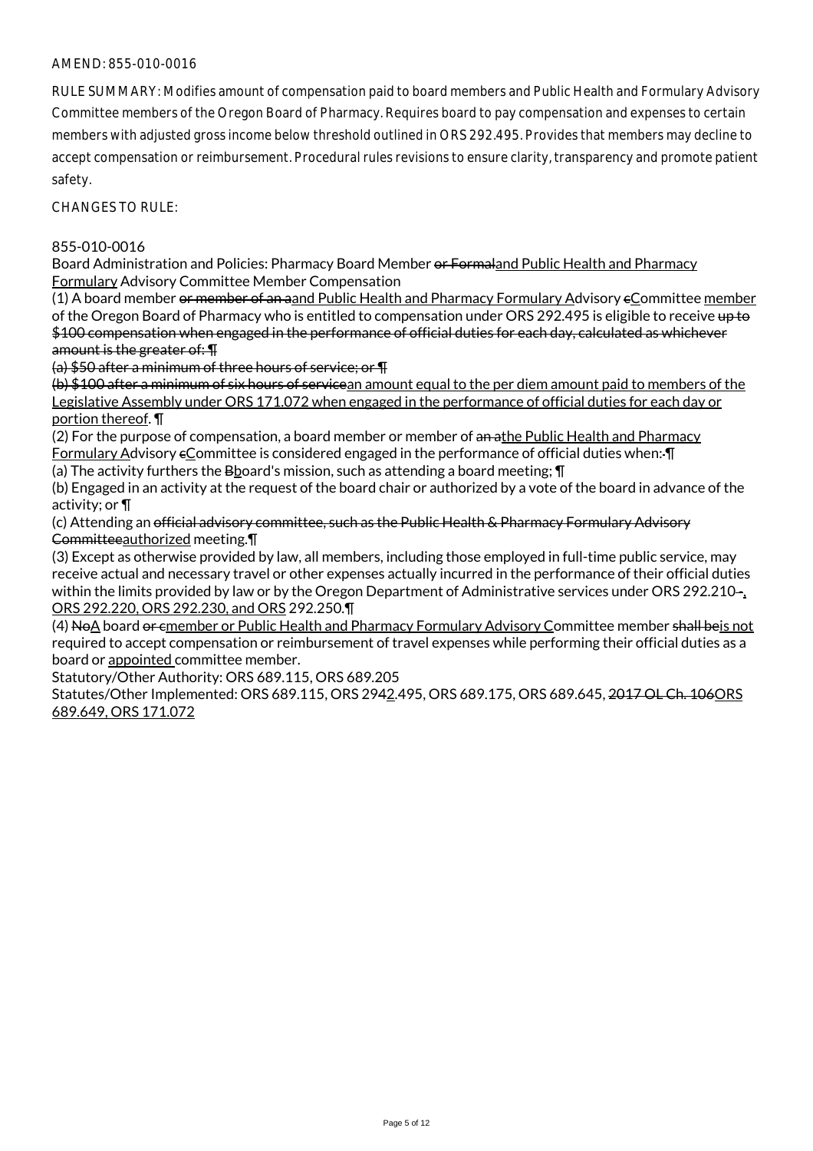RULE SUMMARY: Modifies amount of compensation paid to board members and Public Health and Formulary Advisory Committee members of the Oregon Board of Pharmacy. Requires board to pay compensation and expenses to certain members with adjusted gross income below threshold outlined in ORS 292.495. Provides that members may decline to accept compensation or reimbursement. Procedural rules revisions to ensure clarity, transparency and promote patient safety.

CHANGES TO RULE:

### 855-010-0016

Board Administration and Policies: Pharmacy Board Member or Formaland Public Health and Pharmacy Formulary Advisory Committee Member Compensation

(1) A board member or member of an aand Public Health and Pharmacy Formulary Advisory cCommittee member of the Oregon Board of Pharmacy who is entitled to compensation under ORS 292.495 is eligible to receive up to \$100 compensation when engaged in the performance of official duties for each day, calculated as whichever amount is the greater of: ¶

(a) \$50 after a minimum of three hours of service; or ¶

(b) \$100 after a minimum of six hours of servicean amount equal to the per diem amount paid to members of the Legislative Assembly under ORS 171.072 when engaged in the performance of official duties for each day or portion thereof. ¶

(2) For the purpose of compensation, a board member or member of an athe Public Health and Pharmacy Formulary Advisory eCommittee is considered engaged in the performance of official duties when:- [I]

(a) The activity furthers the B board's mission, such as attending a board meeting;  $\P$ 

(b) Engaged in an activity at the request of the board chair or authorized by a vote of the board in advance of the activity; or ¶

(c) Attending an official advisory committee, such as the Public Health & Pharmacy Formulary Advisory Committeeauthorized meeting.¶

(3) Except as otherwise provided by law, all members, including those employed in full-time public service, may receive actual and necessary travel or other expenses actually incurred in the performance of their official duties within the limits provided by law or by the Oregon Department of Administrative services under ORS 292.210-, ORS 292.220, ORS 292.230, and ORS 292.250.¶

(4) NoA board or cmember or Public Health and Pharmacy Formulary Advisory Committee member shall beis not required to accept compensation or reimbursement of travel expenses while performing their official duties as a board or appointed committee member.

Statutory/Other Authority: ORS 689.115, ORS 689.205

Statutes/Other Implemented: ORS 689.115, ORS 2942.495, ORS 689.175, ORS 689.645, 2017 OL Ch. 106 ORS 689.649, ORS 171.072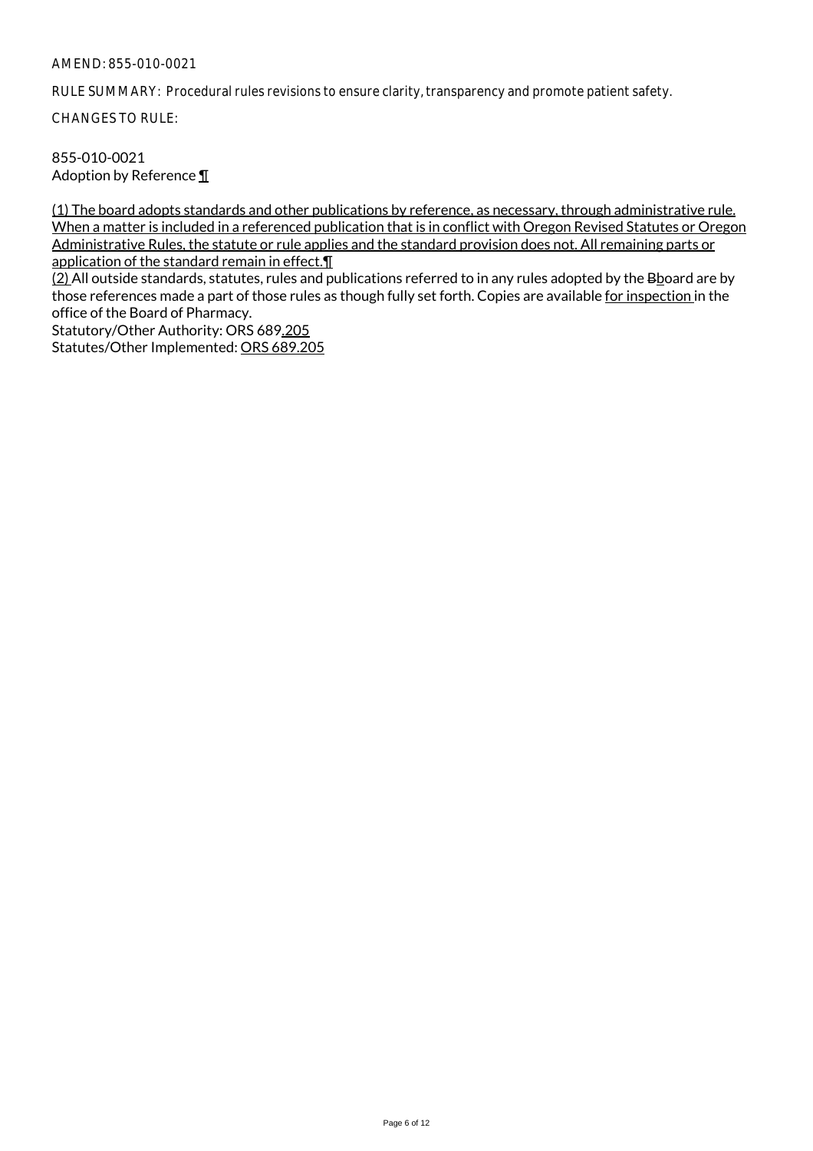RULE SUMMARY: Procedural rules revisions to ensure clarity, transparency and promote patient safety.

CHANGES TO RULE:

855-010-0021 Adoption by Reference ¶

(1) The board adopts standards and other publications by reference, as necessary, through administrative rule. When a matter is included in a referenced publication that is in conflict with Oregon Revised Statutes or Oregon Administrative Rules, the statute or rule applies and the standard provision does not. All remaining parts or application of the standard remain in effect.¶

(2) All outside standards, statutes, rules and publications referred to in any rules adopted by the Bboard are by those references made a part of those rules as though fully set forth. Copies are available for inspection in the office of the Board of Pharmacy.

Statutory/Other Authority: ORS 689.205 Statutes/Other Implemented: ORS 689.205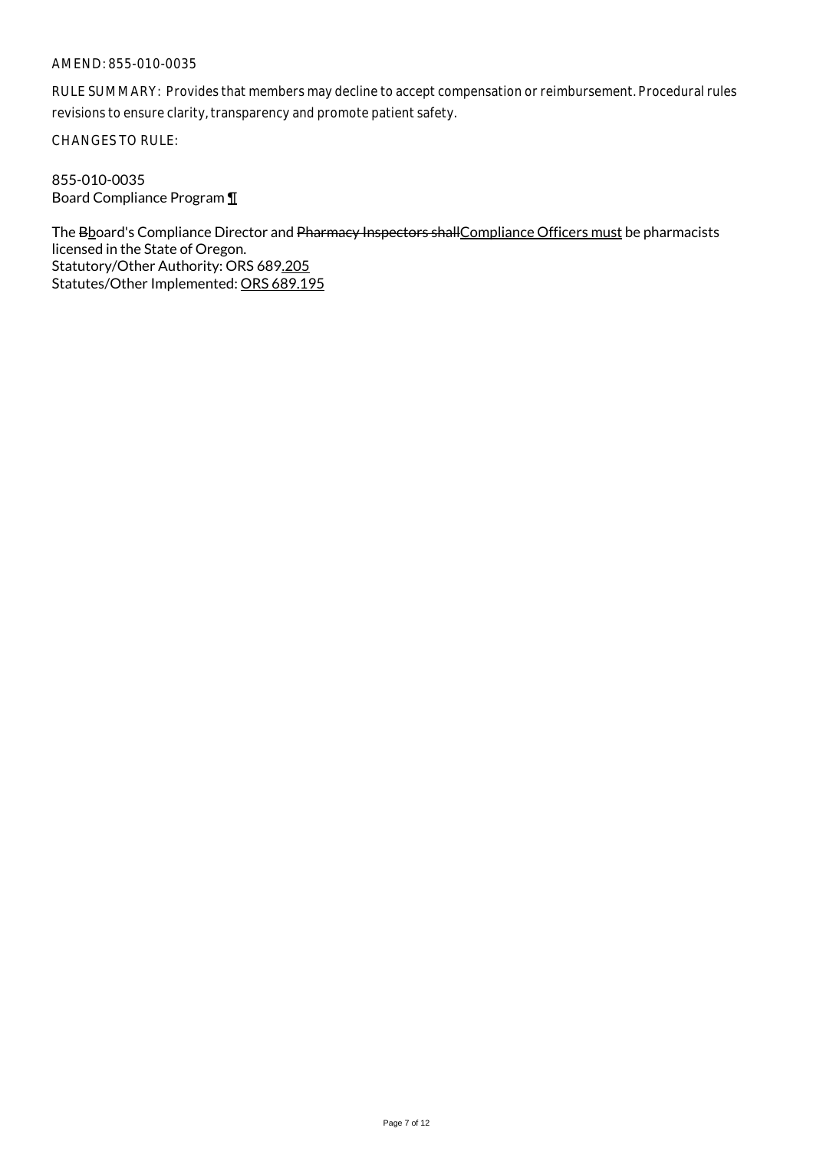RULE SUMMARY: Provides that members may decline to accept compensation or reimbursement. Procedural rules revisions to ensure clarity, transparency and promote patient safety.

CHANGES TO RULE:

855-010-0035 Board Compliance Program ¶

The Bboard's Compliance Director and Pharmacy Inspectors shall Compliance Officers must be pharmacists licensed in the State of Oregon. Statutory/Other Authority: ORS 689.205 Statutes/Other Implemented: ORS 689.195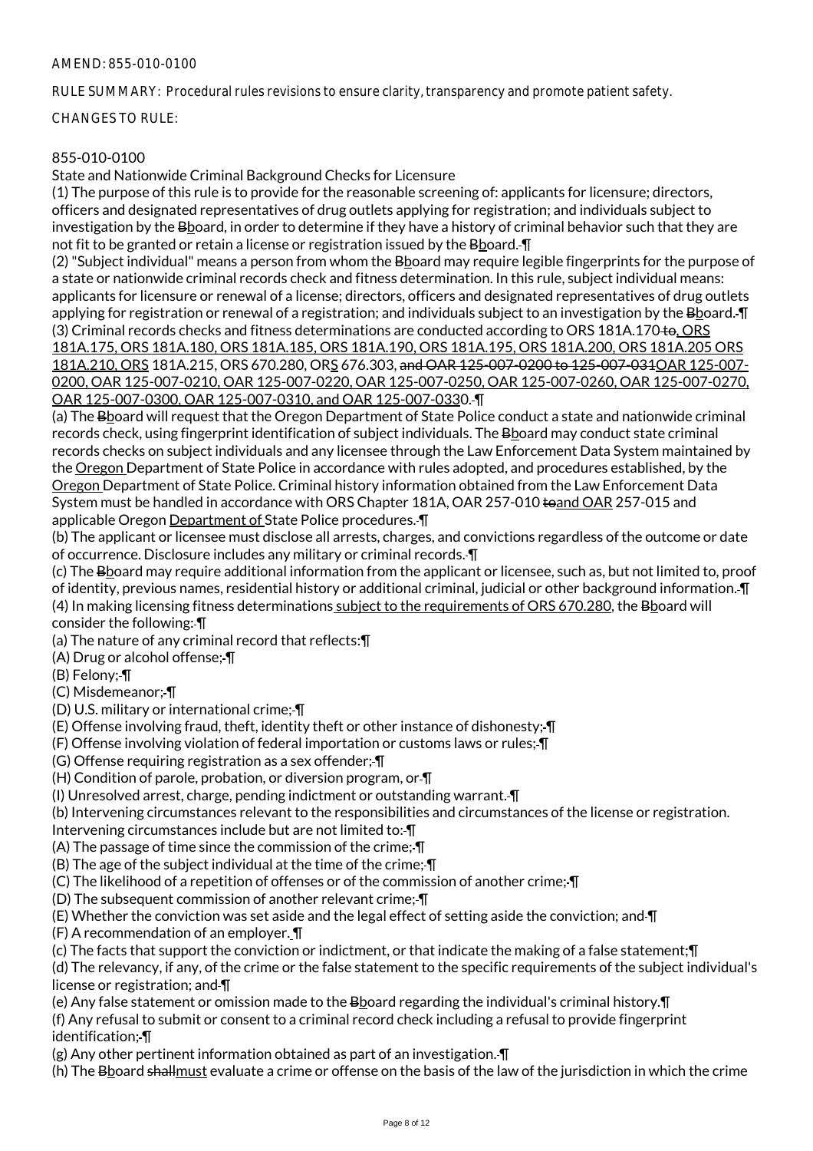RULE SUMMARY: Procedural rules revisions to ensure clarity, transparency and promote patient safety.

CHANGES TO RULE:

## 855-010-0100

State and Nationwide Criminal Background Checks for Licensure

(1) The purpose of this rule is to provide for the reasonable screening of: applicants for licensure; directors, officers and designated representatives of drug outlets applying for registration; and individuals subject to investigation by the Bboard, in order to determine if they have a history of criminal behavior such that they are not fit to be granted or retain a license or registration issued by the Bboard.  $\P$ 

(2) "Subject individual" means a person from whom the Bboard may require legible fingerprints for the purpose of a state or nationwide criminal records check and fitness determination. In this rule, subject individual means: applicants for licensure or renewal of a license; directors, officers and designated representatives of drug outlets applying for registration or renewal of a registration; and individuals subject to an investigation by the Bhoard. I (3) Criminal records checks and fitness determinations are conducted according to ORS 181A.170 to, ORS 181A.175, ORS 181A.180, ORS 181A.185, ORS 181A.190, ORS 181A.195, ORS 181A.200, ORS 181A.205 ORS 181A.210, ORS 181A.215, ORS 670.280, ORS 676.303, and OAR 125-007-0200 to 125-007-031OAR 125-007- 0200, OAR 125-007-0210, OAR 125-007-0220, OAR 125-007-0250, OAR 125-007-0260, OAR 125-007-0270, OAR 125-007-0300, OAR 125-007-0310, and OAR 125-007-0330. ¶

(a) The Bboard will request that the Oregon Department of State Police conduct a state and nationwide criminal records check, using fingerprint identification of subject individuals. The Bboard may conduct state criminal records checks on subject individuals and any licensee through the Law Enforcement Data System maintained by the Oregon Department of State Police in accordance with rules adopted, and procedures established, by the Oregon Department of State Police. Criminal history information obtained from the Law Enforcement Data System must be handled in accordance with ORS Chapter 181A, OAR 257-010 toand OAR 257-015 and applicable Oregon Department of State Police procedures. ¶

(b) The applicant or licensee must disclose all arrests, charges, and convictions regardless of the outcome or date of occurrence. Disclosure includes any military or criminal records. ¶

(c) The Bboard may require additional information from the applicant or licensee, such as, but not limited to, proof of identity, previous names, residential history or additional criminal, judicial or other background information. ¶ (4) In making licensing fitness determinations subject to the requirements of ORS 670.280, the Bboard will consider the following: ¶

(a) The nature of any criminal record that reflects:¶

(A) Drug or alcohol offense; ¶

(B) Felony; ¶

(C) Misdemeanor; ¶

(D) U.S. military or international crime; ¶

(E) Offense involving fraud, theft, identity theft or other instance of dishonesty; ¶

(F) Offense involving violation of federal importation or customs laws or rules; ¶

(G) Offense requiring registration as a sex offender; ¶

(H) Condition of parole, probation, or diversion program, or ¶

(I) Unresolved arrest, charge, pending indictment or outstanding warrant. ¶

(b) Intervening circumstances relevant to the responsibilities and circumstances of the license or registration.

Intervening circumstances include but are not limited to: ¶

(A) The passage of time since the commission of the crime; ¶

(B) The age of the subject individual at the time of the crime; ¶

(C) The likelihood of a repetition of offenses or of the commission of another crime; ¶

(D) The subsequent commission of another relevant crime; ¶

(E) Whether the conviction was set aside and the legal effect of setting aside the conviction; and ¶

(F) A recommendation of an employer. ¶

(c) The facts that support the conviction or indictment, or that indicate the making of a false statement;¶

(d) The relevancy, if any, of the crime or the false statement to the specific requirements of the subject individual's license or registration; and  $\P$ 

(e) Any false statement or omission made to the Board regarding the individual's criminal history. I

(f) Any refusal to submit or consent to a criminal record check including a refusal to provide fingerprint identification; ¶

(g) Any other pertinent information obtained as part of an investigation. ¶

(h) The Bboard shallmust evaluate a crime or offense on the basis of the law of the jurisdiction in which the crime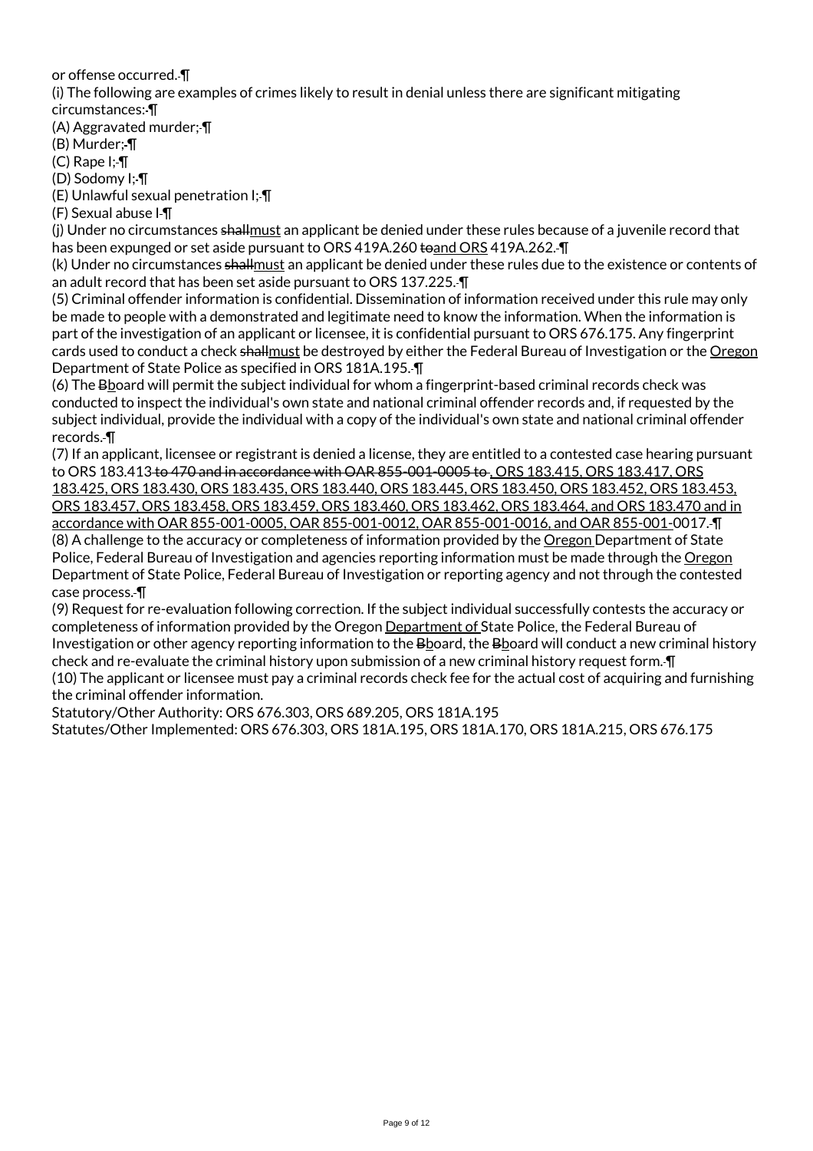or offense occurred. ¶

(i) The following are examples of crimes likely to result in denial unless there are significant mitigating

circumstances: ¶

(A) Aggravated murder; ¶

(B) Murder; ¶

(C) Rape I; ¶

(D) Sodomy I; ¶

(E) Unlawful sexual penetration I; ¶

(F) Sexual abuse I ¶

(j) Under no circumstances shallmust an applicant be denied under these rules because of a juvenile record that has been expunged or set aside pursuant to ORS 419A.260 to and ORS 419A.262. T

(k) Under no circumstances shallmust an applicant be denied under these rules due to the existence or contents of an adult record that has been set aside pursuant to ORS 137.225. ¶

(5) Criminal offender information is confidential. Dissemination of information received under this rule may only be made to people with a demonstrated and legitimate need to know the information. When the information is part of the investigation of an applicant or licensee, it is confidential pursuant to ORS 676.175. Any fingerprint cards used to conduct a check shallmust be destroyed by either the Federal Bureau of Investigation or the Oregon Department of State Police as specified in ORS 181A.195. ¶

(6) The Bboard will permit the subject individual for whom a fingerprint-based criminal records check was conducted to inspect the individual's own state and national criminal offender records and, if requested by the subject individual, provide the individual with a copy of the individual's own state and national criminal offender records. ¶

(7) If an applicant, licensee or registrant is denied a license, they are entitled to a contested case hearing pursuant to ORS 183.413 to 470 and in accordance with OAR 855-001-0005 to , ORS 183.415, ORS 183.417, ORS 183.425, ORS 183.430, ORS 183.435, ORS 183.440, ORS 183.445, ORS 183.450, ORS 183.452, ORS 183.453, ORS 183.457, ORS 183.458, ORS 183.459, ORS 183.460, ORS 183.462, ORS 183.464, and ORS 183.470 and in accordance with OAR 855-001-0005, OAR 855-001-0012, OAR 855-001-0016, and OAR 855-001-0017. ¶

(8) A challenge to the accuracy or completeness of information provided by the Oregon Department of State Police, Federal Bureau of Investigation and agencies reporting information must be made through the Oregon Department of State Police, Federal Bureau of Investigation or reporting agency and not through the contested case process. ¶

(9) Request for re-evaluation following correction. If the subject individual successfully contests the accuracy or completeness of information provided by the Oregon Department of State Police, the Federal Bureau of Investigation or other agency reporting information to the Bboard, the Bboard will conduct a new criminal history check and re-evaluate the criminal history upon submission of a new criminal history request form. ¶ (10) The applicant or licensee must pay a criminal records check fee for the actual cost of acquiring and furnishing the criminal offender information.

Statutory/Other Authority: ORS 676.303, ORS 689.205, ORS 181A.195

Statutes/Other Implemented: ORS 676.303, ORS 181A.195, ORS 181A.170, ORS 181A.215, ORS 676.175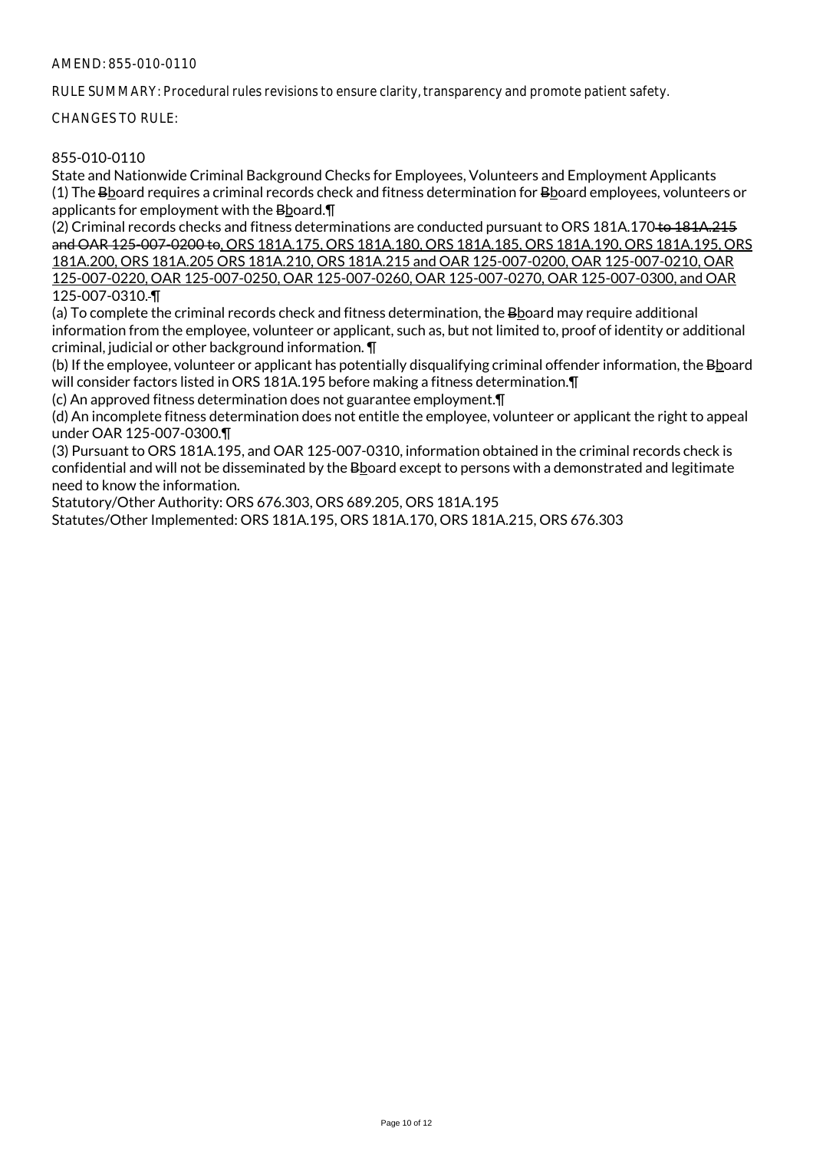RULE SUMMARY: Procedural rules revisions to ensure clarity, transparency and promote patient safety.

CHANGES TO RULE:

# 855-010-0110

State and Nationwide Criminal Background Checks for Employees, Volunteers and Employment Applicants (1) The Bboard requires a criminal records check and fitness determination for Bboard employees, volunteers or applicants for employment with the Bboard.¶

(2) Criminal records checks and fitness determinations are conducted pursuant to ORS 181A.170 to 181A.215 and OAR 125-007-0200 to, ORS 181A.175, ORS 181A.180, ORS 181A.185, ORS 181A.190, ORS 181A.195, ORS 181A.200, ORS 181A.205 ORS 181A.210, ORS 181A.215 and OAR 125-007-0200, OAR 125-007-0210, OAR 125-007-0220, OAR 125-007-0250, OAR 125-007-0260, OAR 125-007-0270, OAR 125-007-0300, and OAR 125-007-0310. ¶

(a) To complete the criminal records check and fitness determination, the Bboard may require additional information from the employee, volunteer or applicant, such as, but not limited to, proof of identity or additional criminal, judicial or other background information. ¶

(b) If the employee, volunteer or applicant has potentially disqualifying criminal offender information, the Bhoard will consider factors listed in ORS 181A.195 before making a fitness determination.¶

(c) An approved fitness determination does not guarantee employment.¶

(d) An incomplete fitness determination does not entitle the employee, volunteer or applicant the right to appeal under OAR 125-007-0300.¶

(3) Pursuant to ORS 181A.195, and OAR 125-007-0310, information obtained in the criminal records check is confidential and will not be disseminated by the Bboard except to persons with a demonstrated and legitimate need to know the information.

Statutory/Other Authority: ORS 676.303, ORS 689.205, ORS 181A.195

Statutes/Other Implemented: ORS 181A.195, ORS 181A.170, ORS 181A.215, ORS 676.303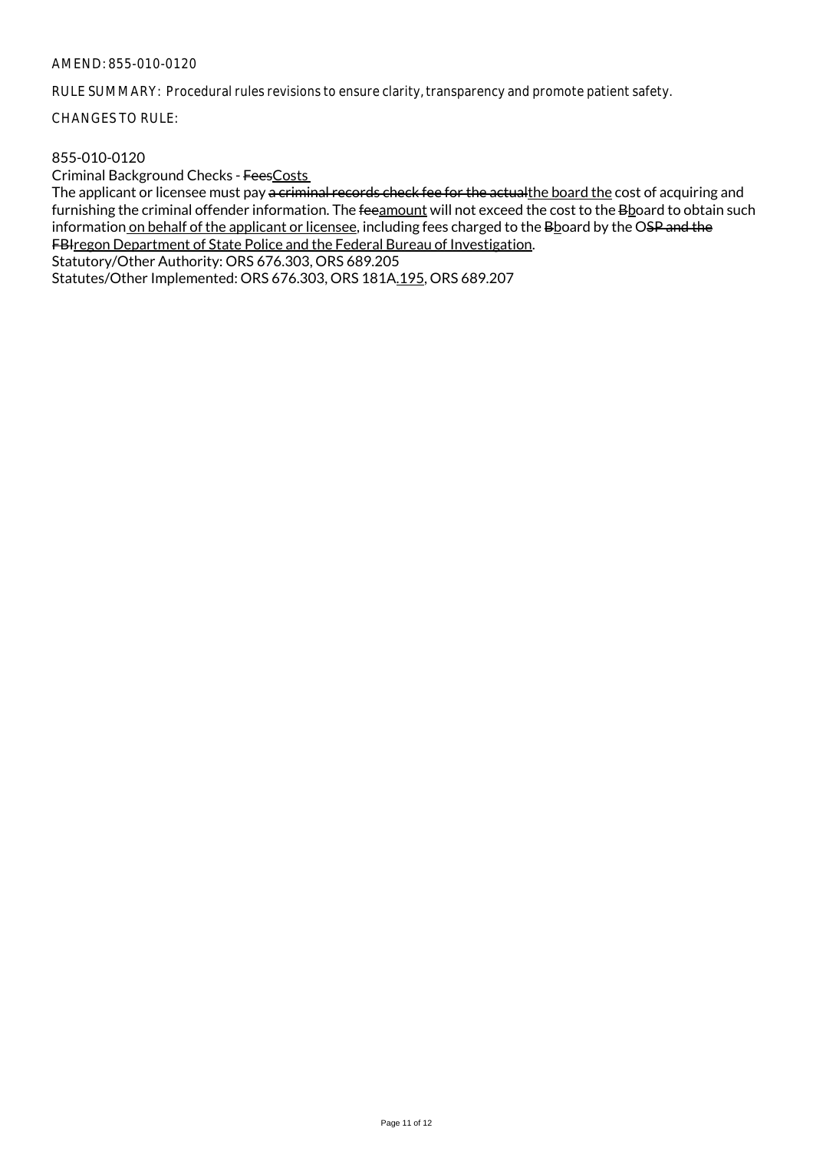RULE SUMMARY: Procedural rules revisions to ensure clarity, transparency and promote patient safety.

CHANGES TO RULE:

### 855-010-0120

Criminal Background Checks - FeesCosts

The applicant or licensee must pay a criminal records check fee for the actualthe board the cost of acquiring and furnishing the criminal offender information. The feeamount will not exceed the cost to the Bboard to obtain such information on behalf of the applicant or licensee, including fees charged to the Bboard by the OSP and the FBIregon Department of State Police and the Federal Bureau of Investigation.

Statutory/Other Authority: ORS 676.303, ORS 689.205

Statutes/Other Implemented: ORS 676.303, ORS 181A.195, ORS 689.207